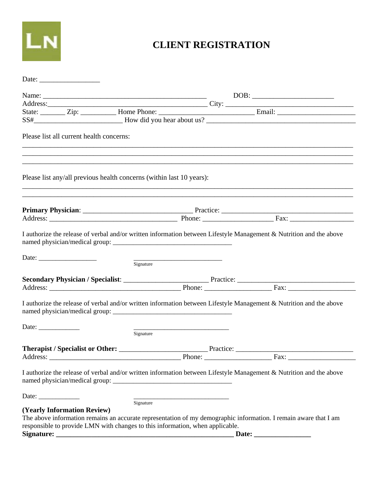

## **CLIENT REGISTRATION**

|                                                                               |           | Address: City: City: City: City: City: City: City: City: City: City: City: City: City: City: City: City: City: City: City: City: City: City: City: City: City: City: City: City: City: City: City: City: City: City: City: Cit |
|-------------------------------------------------------------------------------|-----------|--------------------------------------------------------------------------------------------------------------------------------------------------------------------------------------------------------------------------------|
|                                                                               |           |                                                                                                                                                                                                                                |
|                                                                               |           |                                                                                                                                                                                                                                |
| Please list all current health concerns:                                      |           | ,我们也不能在这里的人,我们也不能在这里的人,我们也不能在这里的人,我们也不能在这里的人,我们也不能在这里的人,我们也不能在这里的人,我们也不能在这里的人,我们也                                                                                                                                              |
| Please list any/all previous health concerns (within last 10 years):          |           |                                                                                                                                                                                                                                |
|                                                                               |           | ,我们也不能在这里的人,我们也不能在这里的人,我们也不能在这里的人,我们也不能在这里的人,我们也不能在这里的人,我们也不能在这里的人,我们也不能在这里的人,我们也                                                                                                                                              |
|                                                                               |           |                                                                                                                                                                                                                                |
|                                                                               | Signature | Secondary Physician / Specialist: Practice: Practice: Practice: Practice: Practice: Practice: Practice: Practice: Practice: Practice: Practice: Practice: Practice: Practice: Practice: Practice: Practice: Practice: Practice |
|                                                                               |           | I authorize the release of verbal and/or written information between Lifestyle Management & Nutrition and the above                                                                                                            |
| Date:                                                                         | Signature |                                                                                                                                                                                                                                |
|                                                                               |           |                                                                                                                                                                                                                                |
|                                                                               |           | Phone: Fax:                                                                                                                                                                                                                    |
|                                                                               |           | I authorize the release of verbal and/or written information between Lifestyle Management & Nutrition and the above                                                                                                            |
| Date: $\frac{1}{\sqrt{1-\frac{1}{2}} \cdot \frac{1}{2}}$                      | Signature |                                                                                                                                                                                                                                |
| <b>(Yearly Information Review)</b>                                            |           |                                                                                                                                                                                                                                |
| responsible to provide LMN with changes to this information, when applicable. |           | The above information remains an accurate representation of my demographic information. I remain aware that I am                                                                                                               |
|                                                                               |           |                                                                                                                                                                                                                                |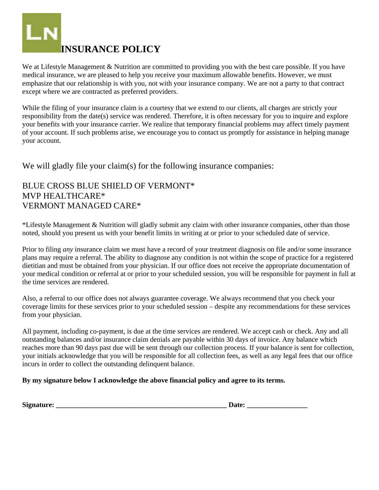

We at Lifestyle Management & Nutrition are committed to providing you with the best care possible. If you have medical insurance, we are pleased to help you receive your maximum allowable benefits. However, we must emphasize that our relationship is with you, not with your insurance company. We are not a party to that contract except where we are contracted as preferred providers.

While the filing of your insurance claim is a courtesy that we extend to our clients, all charges are strictly your responsibility from the date(s) service was rendered. Therefore, it is often necessary for you to inquire and explore your benefits with your insurance carrier. We realize that temporary financial problems may affect timely payment of your account. If such problems arise, we encourage you to contact us promptly for assistance in helping manage your account.

We will gladly file your claim(s) for the following insurance companies:

#### BLUE CROSS BLUE SHIELD OF VERMONT\* MVP HEALTHCARE\* VERMONT MANAGED CARE\*

\*Lifestyle Management & Nutrition will gladly submit any claim with other insurance companies, other than those noted, should you present us with your benefit limits in writing at or prior to your scheduled date of service.

Prior to filing *any* insurance claim we must have a record of your treatment diagnosis on file and/or some insurance plans may require a referral. The ability to diagnose any condition is not within the scope of practice for a registered dietitian and must be obtained from your physician. If our office does not receive the appropriate documentation of your medical condition or referral at or prior to your scheduled session, you will be responsible for payment in full at the time services are rendered.

Also, a referral to our office does not always guarantee coverage. We always recommend that you check your coverage limits for these services prior to your scheduled session – despite any recommendations for these services from your physician.

All payment, including co-payment, is due at the time services are rendered. We accept cash or check. Any and all outstanding balances and/or insurance claim denials are payable within 30 days of invoice. Any balance which reaches more than 90 days past due will be sent through our collection process. If your balance is sent for collection, your initials acknowledge that you will be responsible for all collection fees, as well as any legal fees that our office incurs in order to collect the outstanding delinquent balance.

#### **By my signature below I acknowledge the above financial policy and agree to its terms.**

| Signature: |  |
|------------|--|
|------------|--|

**Signature:**  $\qquad \qquad$  Date: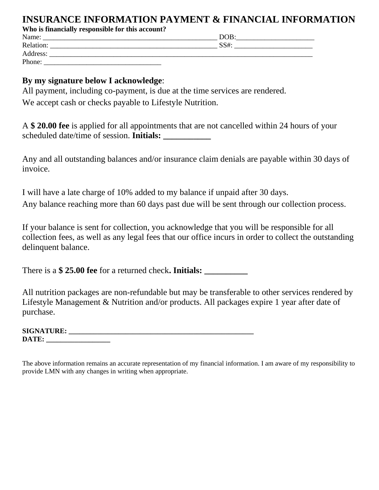### **INSURANCE INFORMATION PAYMENT & FINANCIAL INFORMATION**

**Who is financially responsible for this account?** 

| Name:     | DOB: |
|-----------|------|
| Relation: | SS#: |
| Address:  |      |
| Phone:    |      |

#### **By my signature below I acknowledge**:

All payment, including co-payment, is due at the time services are rendered. We accept cash or checks payable to Lifestyle Nutrition.

A **\$ 20.00 fee** is applied for all appointments that are not cancelled within 24 hours of your scheduled date/time of session. **Initials:** 

Any and all outstanding balances and/or insurance claim denials are payable within 30 days of invoice.

I will have a late charge of 10% added to my balance if unpaid after 30 days. Any balance reaching more than 60 days past due will be sent through our collection process.

If your balance is sent for collection, you acknowledge that you will be responsible for all collection fees, as well as any legal fees that our office incurs in order to collect the outstanding delinquent balance.

There is a **\$ 25.00 fee** for a returned check**. Initials: \_\_\_\_\_\_\_\_\_\_** 

All nutrition packages are non-refundable but may be transferable to other services rendered by Lifestyle Management & Nutrition and/or products. All packages expire 1 year after date of purchase.

| <b>SIGNATURE:</b> |  |  |
|-------------------|--|--|
| <b>DATE:</b>      |  |  |

The above information remains an accurate representation of my financial information. I am aware of my responsibility to provide LMN with any changes in writing when appropriate.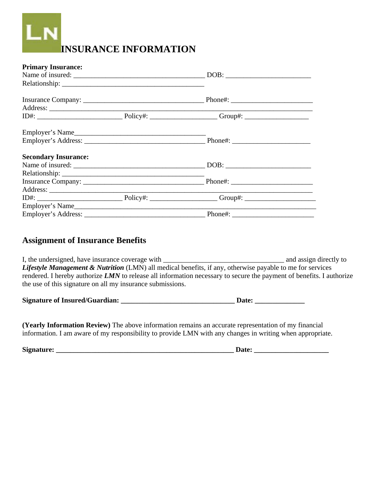# **INSURANCE INFORMATION**

| <b>Primary Insurance:</b>   |  |  |
|-----------------------------|--|--|
|                             |  |  |
|                             |  |  |
|                             |  |  |
|                             |  |  |
|                             |  |  |
| Employer's Name             |  |  |
|                             |  |  |
| <b>Secondary Insurance:</b> |  |  |
|                             |  |  |
|                             |  |  |
|                             |  |  |
|                             |  |  |
|                             |  |  |
|                             |  |  |
|                             |  |  |

#### **Assignment of Insurance Benefits**

I, the undersigned, have insurance coverage with and assign directly to and assign directly to *Lifestyle Management & Nutrition* (LMN) all medical benefits, if any, otherwise payable to me for services rendered. I hereby authorize *LMN* to release all information necessary to secure the payment of benefits. I authorize the use of this signature on all my insurance submissions.

| <b>Signature of Insured/Guardian:</b> |  | <b>Date:</b> |
|---------------------------------------|--|--------------|
|---------------------------------------|--|--------------|

**(Yearly Information Review)** The above information remains an accurate representation of my financial information. I am aware of my responsibility to provide LMN with any changes in writing when appropriate.

**Signature: \_\_\_\_\_\_\_\_\_\_\_\_\_\_\_\_\_\_\_\_\_\_\_\_\_\_\_\_\_\_\_\_\_\_\_\_\_\_\_\_\_\_\_\_\_\_\_\_\_\_ Date: \_\_\_\_\_\_\_\_\_\_\_\_\_\_\_\_\_\_\_\_\_**